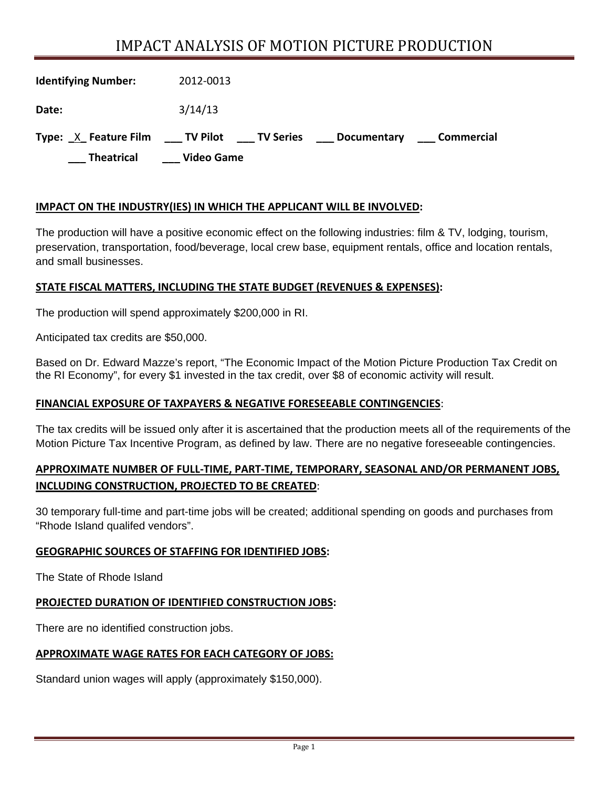# IMPACT ANALYSIS OF MOTION PICTURE PRODUCTION

| <b>Theatrical</b>          | <b>Video Game</b>                 |             |            |
|----------------------------|-----------------------------------|-------------|------------|
| Type: X Feature Film       | ____ TV Pilot<br><b>TV Series</b> | Documentary | Commercial |
| Date:                      | 3/14/13                           |             |            |
| <b>Identifying Number:</b> | 2012-0013                         |             |            |

## **IMPACT ON THE INDUSTRY(IES) IN WHICH THE APPLICANT WILL BE INVOLVED:**

The production will have a positive economic effect on the following industries: film & TV, lodging, tourism, preservation, transportation, food/beverage, local crew base, equipment rentals, office and location rentals, and small businesses.

#### **STATE FISCAL MATTERS, INCLUDING THE STATE BUDGET (REVENUES & EXPENSES):**

The production will spend approximately \$200,000 in RI.

Anticipated tax credits are \$50,000.

Based on Dr. Edward Mazze's report, "The Economic Impact of the Motion Picture Production Tax Credit on the RI Economy", for every \$1 invested in the tax credit, over \$8 of economic activity will result.

#### **FINANCIAL EXPOSURE OF TAXPAYERS & NEGATIVE FORESEEABLE CONTINGENCIES**:

The tax credits will be issued only after it is ascertained that the production meets all of the requirements of the Motion Picture Tax Incentive Program, as defined by law. There are no negative foreseeable contingencies.

# **APPROXIMATE NUMBER OF FULL‐TIME, PART‐TIME, TEMPORARY, SEASONAL AND/OR PERMANENT JOBS, INCLUDING CONSTRUCTION, PROJECTED TO BE CREATED**:

30 temporary full-time and part-time jobs will be created; additional spending on goods and purchases from "Rhode Island qualifed vendors".

#### **GEOGRAPHIC SOURCES OF STAFFING FOR IDENTIFIED JOBS:**

The State of Rhode Island

## **PROJECTED DURATION OF IDENTIFIED CONSTRUCTION JOBS:**

There are no identified construction jobs.

#### **APPROXIMATE WAGE RATES FOR EACH CATEGORY OF JOBS:**

Standard union wages will apply (approximately \$150,000).